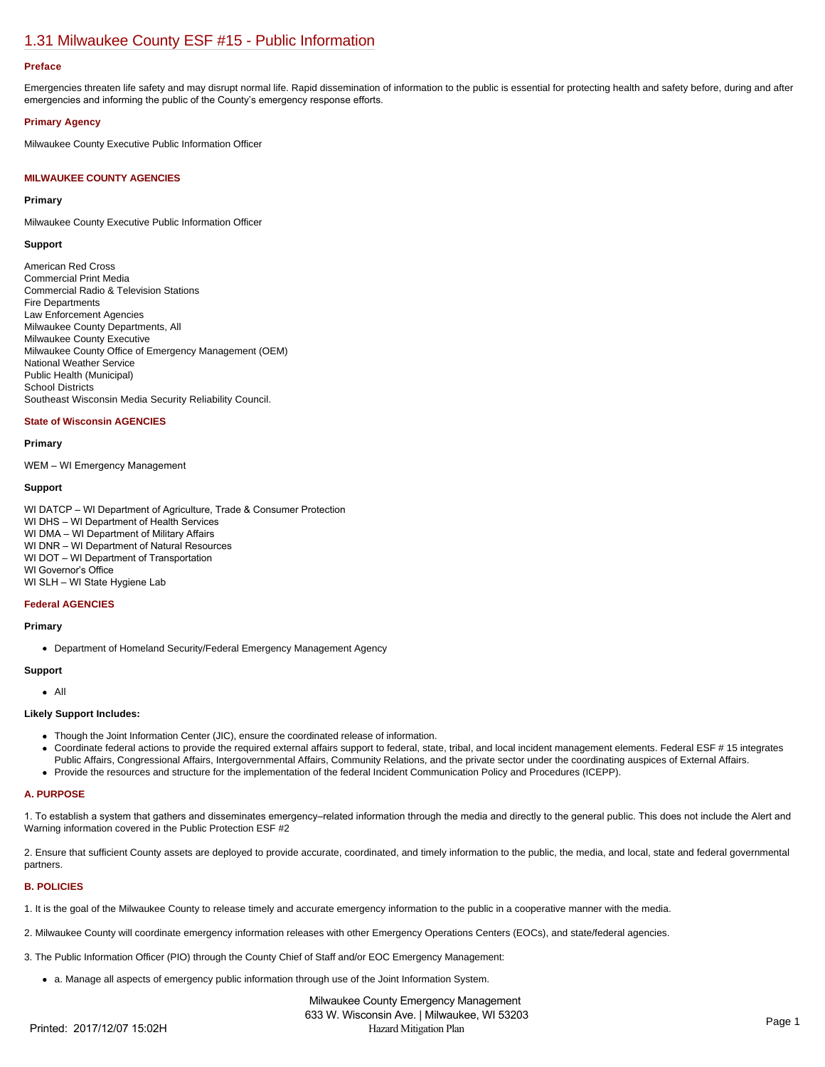# [1.31 Milwaukee County ESF #15 - Public Information](https://milwaukeecounty.isc-cemp.com/Cemp/Details?id=5805907)

#### **Preface**

Emergencies threaten life safety and may disrupt normal life. Rapid dissemination of information to the public is essential for protecting health and safety before, during and after emergencies and informing the public of the County's emergency response efforts.

#### **Primary Agency**

Milwaukee County Executive Public Information Officer

#### **MILWAUKEE COUNTY AGENCIES**

#### **Primary**

Milwaukee County Executive Public Information Officer

#### **Support**

American Red Cross Commercial Print Media Commercial Radio & Television Stations Fire Departments Law Enforcement Agencies Milwaukee County Departments, All Milwaukee County Executive Milwaukee County Office of Emergency Management (OEM) National Weather Service Public Health (Municipal) School Districts Southeast Wisconsin Media Security Reliability Council.

#### **State of Wisconsin AGENCIES**

## **Primary**

WEM – WI Emergency Management

## **Support**

WI DATCP – WI Department of Agriculture, Trade & Consumer Protection WI DHS – WI Department of Health Services WI DMA – WI Department of Military Affairs WI DNR – WI Department of Natural Resources WI DOT – WI Department of Transportation WI Governor's Office WI SLH – WI State Hygiene Lab

#### **Federal AGENCIES**

#### **Primary**

Department of Homeland Security/Federal Emergency Management Agency

## **Support**

All

## **Likely Support Includes:**

- Though the Joint Information Center (JIC), ensure the coordinated release of information.
- Coordinate federal actions to provide the required external affairs support to federal, state, tribal, and local incident management elements. Federal ESF # 15 integrates Public Affairs, Congressional Affairs, Intergovernmental Affairs, Community Relations, and the private sector under the coordinating auspices of External Affairs.
- Provide the resources and structure for the implementation of the federal Incident Communication Policy and Procedures (ICEPP).

## **A. PURPOSE**

1. To establish a system that gathers and disseminates emergency–related information through the media and directly to the general public. This does not include the Alert and Warning information covered in the Public Protection ESF #2

2. Ensure that sufficient County assets are deployed to provide accurate, coordinated, and timely information to the public, the media, and local, state and federal governmental partners.

#### **B. POLICIES**

1. It is the goal of the Milwaukee County to release timely and accurate emergency information to the public in a cooperative manner with the media.

2. Milwaukee County will coordinate emergency information releases with other Emergency Operations Centers (EOCs), and state/federal agencies.

3. The Public Information Officer (PIO) through the County Chief of Staff and/or EOC Emergency Management:

a. Manage all aspects of emergency public information through use of the Joint Information System.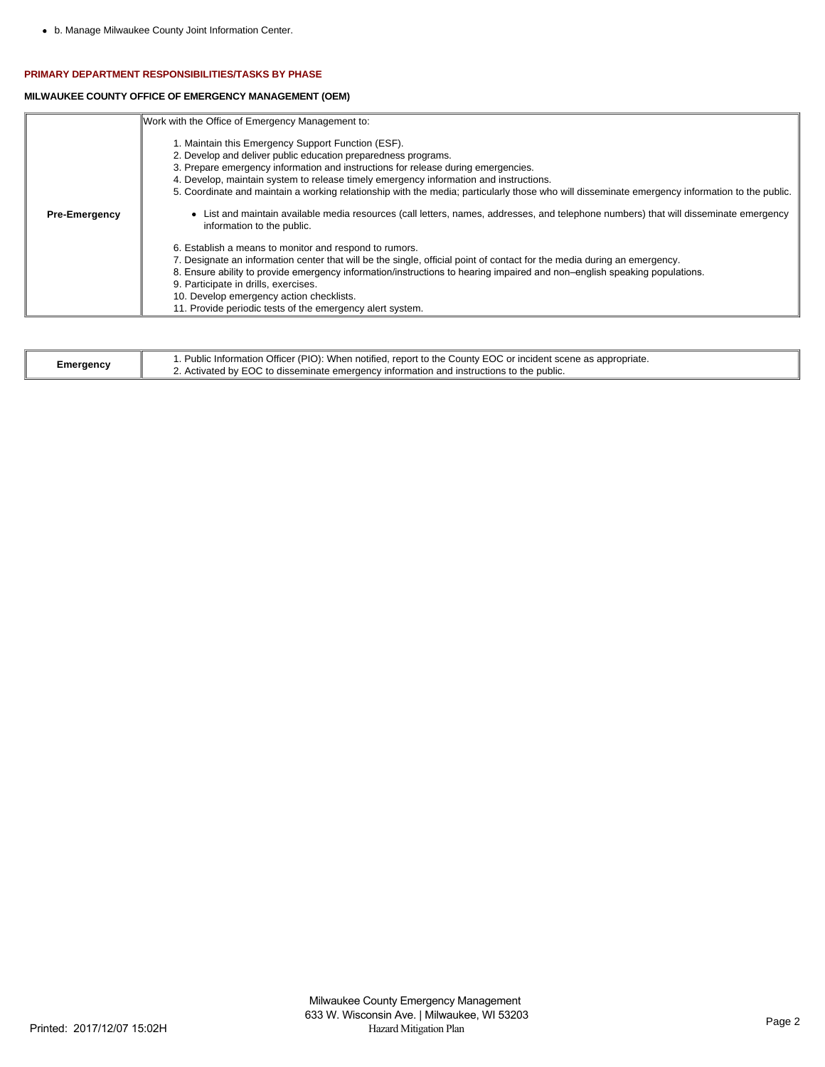## **PRIMARY DEPARTMENT RESPONSIBILITIES/TASKS BY PHASE**

## **MILWAUKEE COUNTY OFFICE OF EMERGENCY MANAGEMENT (OEM)**

|                      | Work with the Office of Emergency Management to:                                                                                                                                                                                                                                                                                                                                                                                                                 |
|----------------------|------------------------------------------------------------------------------------------------------------------------------------------------------------------------------------------------------------------------------------------------------------------------------------------------------------------------------------------------------------------------------------------------------------------------------------------------------------------|
|                      | 1. Maintain this Emergency Support Function (ESF).<br>2. Develop and deliver public education preparedness programs.<br>3. Prepare emergency information and instructions for release during emergencies.<br>4. Develop, maintain system to release timely emergency information and instructions.<br>5. Coordinate and maintain a working relationship with the media; particularly those who will disseminate emergency information to the public.             |
| <b>Pre-Emergency</b> | • List and maintain available media resources (call letters, names, addresses, and telephone numbers) that will disseminate emergency<br>information to the public.                                                                                                                                                                                                                                                                                              |
|                      | 6. Establish a means to monitor and respond to rumors.<br>7. Designate an information center that will be the single, official point of contact for the media during an emergency.<br>8. Ensure ability to provide emergency information/instructions to hearing impaired and non-english speaking populations.<br>9. Participate in drills, exercises.<br>10. Develop emergency action checklists.<br>11. Provide periodic tests of the emergency alert system. |

|           | . Public Information Officer (PIO): When notified, report to the County EOC or incident scene as appropriate. |
|-----------|---------------------------------------------------------------------------------------------------------------|
| Emergency | ∠. Activated by EOC to disseminate emergency information and instructions to the public.                      |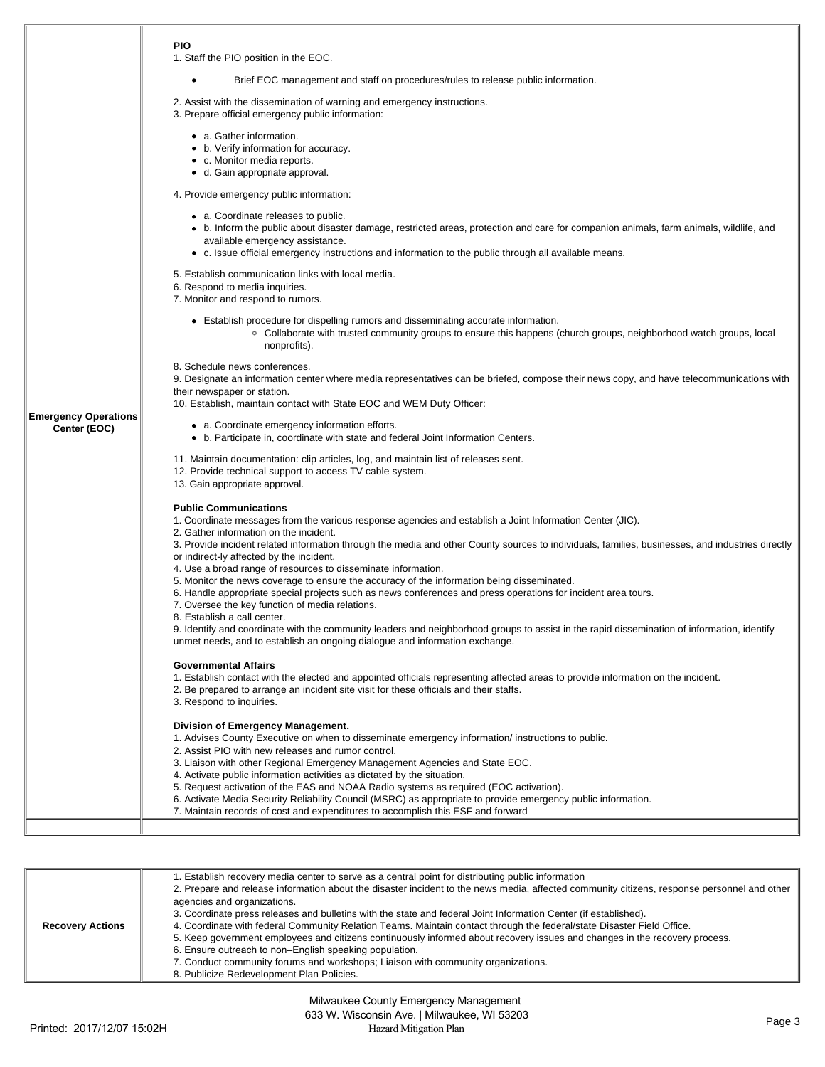|                                             | <b>PIO</b><br>1. Staff the PIO position in the EOC.                                                                                                                                                                                                                                                                                                                                                                                                                                                                                                                                                                                                                                                                                                                                                                                                                                                  |  |  |  |  |  |  |  |  |
|---------------------------------------------|------------------------------------------------------------------------------------------------------------------------------------------------------------------------------------------------------------------------------------------------------------------------------------------------------------------------------------------------------------------------------------------------------------------------------------------------------------------------------------------------------------------------------------------------------------------------------------------------------------------------------------------------------------------------------------------------------------------------------------------------------------------------------------------------------------------------------------------------------------------------------------------------------|--|--|--|--|--|--|--|--|
|                                             |                                                                                                                                                                                                                                                                                                                                                                                                                                                                                                                                                                                                                                                                                                                                                                                                                                                                                                      |  |  |  |  |  |  |  |  |
|                                             | Brief EOC management and staff on procedures/rules to release public information.<br>٠                                                                                                                                                                                                                                                                                                                                                                                                                                                                                                                                                                                                                                                                                                                                                                                                               |  |  |  |  |  |  |  |  |
|                                             | 2. Assist with the dissemination of warning and emergency instructions.<br>3. Prepare official emergency public information:                                                                                                                                                                                                                                                                                                                                                                                                                                                                                                                                                                                                                                                                                                                                                                         |  |  |  |  |  |  |  |  |
|                                             | • a. Gather information.<br>• b. Verify information for accuracy.<br>• c. Monitor media reports.<br>• d. Gain appropriate approval.                                                                                                                                                                                                                                                                                                                                                                                                                                                                                                                                                                                                                                                                                                                                                                  |  |  |  |  |  |  |  |  |
|                                             | 4. Provide emergency public information:                                                                                                                                                                                                                                                                                                                                                                                                                                                                                                                                                                                                                                                                                                                                                                                                                                                             |  |  |  |  |  |  |  |  |
|                                             | • a. Coordinate releases to public.                                                                                                                                                                                                                                                                                                                                                                                                                                                                                                                                                                                                                                                                                                                                                                                                                                                                  |  |  |  |  |  |  |  |  |
|                                             | • b. Inform the public about disaster damage, restricted areas, protection and care for companion animals, farm animals, wildlife, and<br>available emergency assistance.<br>• c. Issue official emergency instructions and information to the public through all available means.                                                                                                                                                                                                                                                                                                                                                                                                                                                                                                                                                                                                                   |  |  |  |  |  |  |  |  |
|                                             | 5. Establish communication links with local media.                                                                                                                                                                                                                                                                                                                                                                                                                                                                                                                                                                                                                                                                                                                                                                                                                                                   |  |  |  |  |  |  |  |  |
|                                             | 6. Respond to media inquiries.<br>7. Monitor and respond to rumors.                                                                                                                                                                                                                                                                                                                                                                                                                                                                                                                                                                                                                                                                                                                                                                                                                                  |  |  |  |  |  |  |  |  |
|                                             |                                                                                                                                                                                                                                                                                                                                                                                                                                                                                                                                                                                                                                                                                                                                                                                                                                                                                                      |  |  |  |  |  |  |  |  |
|                                             | • Establish procedure for dispelling rumors and disseminating accurate information.<br>• Collaborate with trusted community groups to ensure this happens (church groups, neighborhood watch groups, local<br>nonprofits).                                                                                                                                                                                                                                                                                                                                                                                                                                                                                                                                                                                                                                                                           |  |  |  |  |  |  |  |  |
|                                             | 8. Schedule news conferences.                                                                                                                                                                                                                                                                                                                                                                                                                                                                                                                                                                                                                                                                                                                                                                                                                                                                        |  |  |  |  |  |  |  |  |
|                                             | 9. Designate an information center where media representatives can be briefed, compose their news copy, and have telecommunications with<br>their newspaper or station.                                                                                                                                                                                                                                                                                                                                                                                                                                                                                                                                                                                                                                                                                                                              |  |  |  |  |  |  |  |  |
|                                             | 10. Establish, maintain contact with State EOC and WEM Duty Officer:                                                                                                                                                                                                                                                                                                                                                                                                                                                                                                                                                                                                                                                                                                                                                                                                                                 |  |  |  |  |  |  |  |  |
| <b>Emergency Operations</b><br>Center (EOC) | • a. Coordinate emergency information efforts.<br>• b. Participate in, coordinate with state and federal Joint Information Centers.                                                                                                                                                                                                                                                                                                                                                                                                                                                                                                                                                                                                                                                                                                                                                                  |  |  |  |  |  |  |  |  |
|                                             | 11. Maintain documentation: clip articles, log, and maintain list of releases sent.<br>12. Provide technical support to access TV cable system.<br>13. Gain appropriate approval.                                                                                                                                                                                                                                                                                                                                                                                                                                                                                                                                                                                                                                                                                                                    |  |  |  |  |  |  |  |  |
|                                             | <b>Public Communications</b><br>1. Coordinate messages from the various response agencies and establish a Joint Information Center (JIC).<br>2. Gather information on the incident.<br>3. Provide incident related information through the media and other County sources to individuals, families, businesses, and industries directly<br>or indirect-ly affected by the incident.<br>4. Use a broad range of resources to disseminate information.<br>5. Monitor the news coverage to ensure the accuracy of the information being disseminated.<br>6. Handle appropriate special projects such as news conferences and press operations for incident area tours.<br>7. Oversee the key function of media relations.<br>8. Establish a call center.<br>9. Identify and coordinate with the community leaders and neighborhood groups to assist in the rapid dissemination of information, identify |  |  |  |  |  |  |  |  |
|                                             | unmet needs, and to establish an ongoing dialogue and information exchange.                                                                                                                                                                                                                                                                                                                                                                                                                                                                                                                                                                                                                                                                                                                                                                                                                          |  |  |  |  |  |  |  |  |
|                                             | <b>Governmental Affairs</b><br>1. Establish contact with the elected and appointed officials representing affected areas to provide information on the incident.<br>2. Be prepared to arrange an incident site visit for these officials and their staffs.<br>3. Respond to inquiries.                                                                                                                                                                                                                                                                                                                                                                                                                                                                                                                                                                                                               |  |  |  |  |  |  |  |  |
|                                             | Division of Emergency Management.<br>1. Advises County Executive on when to disseminate emergency information/ instructions to public.<br>2. Assist PIO with new releases and rumor control.<br>3. Liaison with other Regional Emergency Management Agencies and State EOC.<br>4. Activate public information activities as dictated by the situation.<br>5. Request activation of the EAS and NOAA Radio systems as required (EOC activation).<br>6. Activate Media Security Reliability Council (MSRC) as appropriate to provide emergency public information.<br>7. Maintain records of cost and expenditures to accomplish this ESF and forward                                                                                                                                                                                                                                                  |  |  |  |  |  |  |  |  |
|                                             |                                                                                                                                                                                                                                                                                                                                                                                                                                                                                                                                                                                                                                                                                                                                                                                                                                                                                                      |  |  |  |  |  |  |  |  |

| <b>Recovery Actions</b> | 1. Establish recovery media center to serve as a central point for distributing public information<br>2. Prepare and release information about the disaster incident to the news media, affected community citizens, response personnel and other<br>agencies and organizations.<br>3. Coordinate press releases and bulletins with the state and federal Joint Information Center (if established).<br>4. Coordinate with federal Community Relation Teams. Maintain contact through the federal/state Disaster Field Office.<br>5. Keep government employees and citizens continuously informed about recovery issues and changes in the recovery process.<br>6. Ensure outreach to non-English speaking population.<br>7. Conduct community forums and workshops; Liaison with community organizations.<br>8. Publicize Redevelopment Plan Policies. |
|-------------------------|---------------------------------------------------------------------------------------------------------------------------------------------------------------------------------------------------------------------------------------------------------------------------------------------------------------------------------------------------------------------------------------------------------------------------------------------------------------------------------------------------------------------------------------------------------------------------------------------------------------------------------------------------------------------------------------------------------------------------------------------------------------------------------------------------------------------------------------------------------|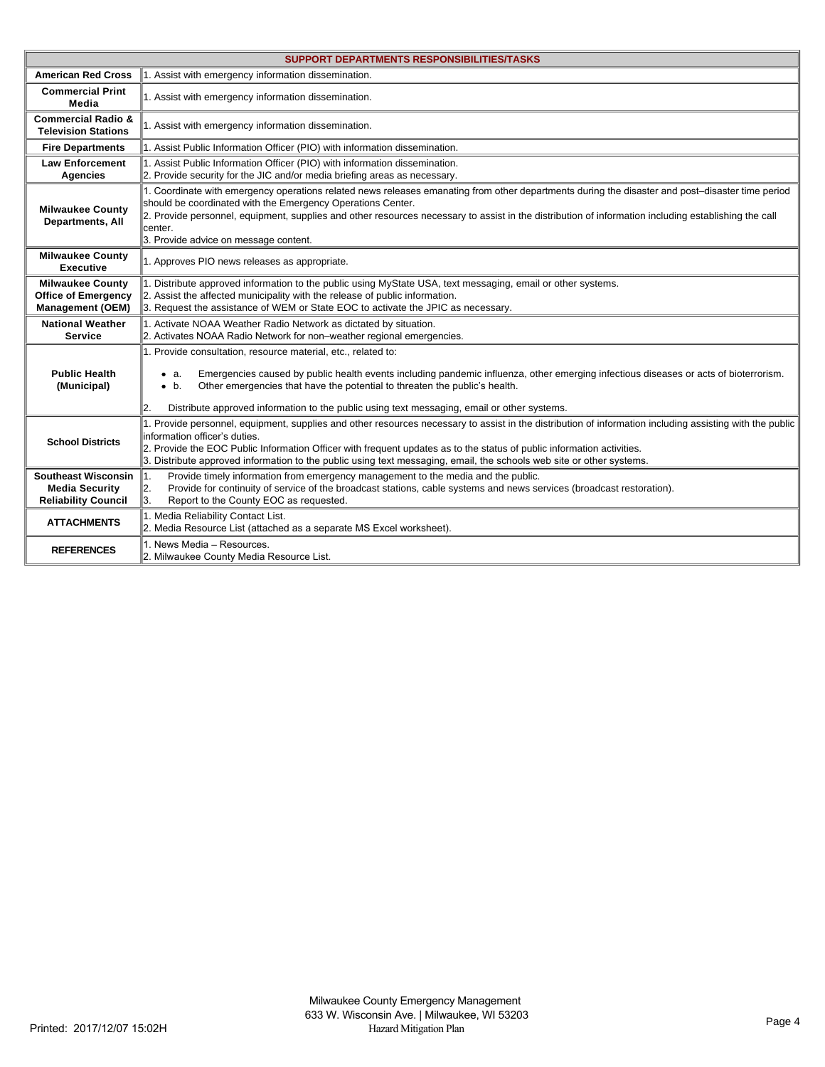|                                                                                   | <b>SUPPORT DEPARTMENTS RESPONSIBILITIES/TASKS</b>                                                                                                                                                                                                                                                                                                                                                                                           |  |  |  |  |  |  |  |
|-----------------------------------------------------------------------------------|---------------------------------------------------------------------------------------------------------------------------------------------------------------------------------------------------------------------------------------------------------------------------------------------------------------------------------------------------------------------------------------------------------------------------------------------|--|--|--|--|--|--|--|
| <b>American Red Cross</b>                                                         | 1. Assist with emergency information dissemination.                                                                                                                                                                                                                                                                                                                                                                                         |  |  |  |  |  |  |  |
| <b>Commercial Print</b><br>Media                                                  | 1. Assist with emergency information dissemination.                                                                                                                                                                                                                                                                                                                                                                                         |  |  |  |  |  |  |  |
| <b>Commercial Radio &amp;</b><br><b>Television Stations</b>                       | 1. Assist with emergency information dissemination.                                                                                                                                                                                                                                                                                                                                                                                         |  |  |  |  |  |  |  |
| <b>Fire Departments</b>                                                           | 1. Assist Public Information Officer (PIO) with information dissemination.                                                                                                                                                                                                                                                                                                                                                                  |  |  |  |  |  |  |  |
| <b>Law Enforcement</b><br><b>Agencies</b>                                         | 1. Assist Public Information Officer (PIO) with information dissemination.<br>2. Provide security for the JIC and/or media briefing areas as necessary.                                                                                                                                                                                                                                                                                     |  |  |  |  |  |  |  |
| <b>Milwaukee County</b><br>Departments, All                                       | 1. Coordinate with emergency operations related news releases emanating from other departments during the disaster and post-disaster time period<br>should be coordinated with the Emergency Operations Center.<br>2. Provide personnel, equipment, supplies and other resources necessary to assist in the distribution of information including establishing the call<br>center.<br>3. Provide advice on message content.                 |  |  |  |  |  |  |  |
| <b>Milwaukee County</b><br><b>Executive</b>                                       | 1. Approves PIO news releases as appropriate.                                                                                                                                                                                                                                                                                                                                                                                               |  |  |  |  |  |  |  |
| <b>Milwaukee County</b><br><b>Office of Emergency</b><br><b>Management (OEM)</b>  | 1. Distribute approved information to the public using MyState USA, text messaging, email or other systems.<br>2. Assist the affected municipality with the release of public information.<br>3. Request the assistance of WEM or State EOC to activate the JPIC as necessary.                                                                                                                                                              |  |  |  |  |  |  |  |
| <b>National Weather</b><br><b>Service</b>                                         | 1. Activate NOAA Weather Radio Network as dictated by situation.<br>2. Activates NOAA Radio Network for non-weather regional emergencies.                                                                                                                                                                                                                                                                                                   |  |  |  |  |  |  |  |
| <b>Public Health</b><br>(Municipal)                                               | 1. Provide consultation, resource material, etc., related to:<br>Emergencies caused by public health events including pandemic influenza, other emerging infectious diseases or acts of bioterrorism.<br>$\bullet$ a.<br>Other emergencies that have the potential to threaten the public's health.<br>$\bullet$ b.<br>Distribute approved information to the public using text messaging, email or other systems.<br>12.                   |  |  |  |  |  |  |  |
| <b>School Districts</b>                                                           | 1. Provide personnel, equipment, supplies and other resources necessary to assist in the distribution of information including assisting with the public<br>information officer's duties.<br>2. Provide the EOC Public Information Officer with frequent updates as to the status of public information activities.<br>3. Distribute approved information to the public using text messaging, email, the schools web site or other systems. |  |  |  |  |  |  |  |
| <b>Southeast Wisconsin</b><br><b>Media Security</b><br><b>Reliability Council</b> | 1.<br>Provide timely information from emergency management to the media and the public.<br>2.<br>Provide for continuity of service of the broadcast stations, cable systems and news services (broadcast restoration).<br>3.<br>Report to the County EOC as requested.                                                                                                                                                                      |  |  |  |  |  |  |  |
| <b>ATTACHMENTS</b>                                                                | 1. Media Reliability Contact List.<br>2. Media Resource List (attached as a separate MS Excel worksheet).                                                                                                                                                                                                                                                                                                                                   |  |  |  |  |  |  |  |
| <b>REFERENCES</b>                                                                 | 1. News Media - Resources.<br>2. Milwaukee County Media Resource List.                                                                                                                                                                                                                                                                                                                                                                      |  |  |  |  |  |  |  |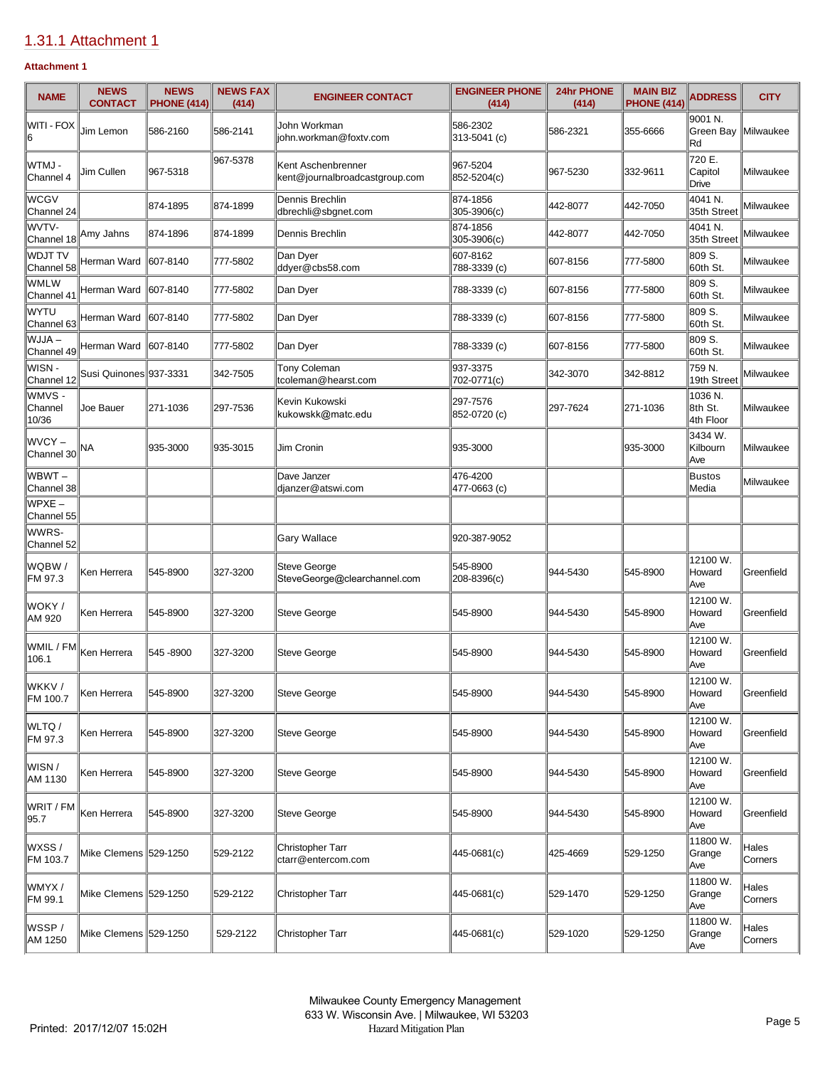# [1.31.1 Attachment 1](https://milwaukeecounty.isc-cemp.com/Cemp/Details?id=5817342)

## **Attachment 1**

| <b>NAME</b>                  | <b>NEWS</b><br><b>CONTACT</b> | <b>NEWS</b><br><b>PHONE (414)</b> | <b>NEWS FAX</b><br>(414) | <b>ENGINEER CONTACT</b>                              | <b>ENGINEER PHONE</b><br>(414) | 24hr PHONE<br>(414) | <b>MAIN BIZ</b><br><b>PHONE (414)</b> | <b>ADDRESS</b>                  | <b>CITY</b>      |
|------------------------------|-------------------------------|-----------------------------------|--------------------------|------------------------------------------------------|--------------------------------|---------------------|---------------------------------------|---------------------------------|------------------|
| WITI - FOX                   | Jim Lemon                     | 586-2160                          | 586-2141                 | John Workman<br>john.workman@foxtv.com               | 586-2302<br>313-5041 (c)       | 586-2321            | 355-6666                              | 9001 N.<br>Green Bay<br>Rd      | Milwaukee        |
| WTMJ -<br>Channel 4          | Jim Cullen                    | 967-5318                          | 967-5378                 | Kent Aschenbrenner<br>kent@journalbroadcastgroup.com | 967-5204<br>852-5204(c)        | 967-5230            | 332-9611                              | 720 E.<br>Capitol<br>Drive      | Milwaukee        |
| <b>WCGV</b><br>Channel 24    |                               | 874-1895                          | 874-1899                 | Dennis Brechlin<br>dbrechli@sbgnet.com               | 874-1856<br>305-3906(c)        | 442-8077            | 442-7050                              | 4041 N.<br>35th Street          | Milwaukee        |
| WVTV-<br>Channel 18          | Amy Jahns                     | 874-1896                          | 874-1899                 | Dennis Brechlin                                      | 874-1856<br>305-3906(c)        | 442-8077            | 442-7050                              | 4041 N.<br>35th Street          | Milwaukee        |
| <b>WDJT TV</b><br>Channel 58 | Herman Ward                   | 607-8140                          | 777-5802                 | Dan Dyer<br>ddyer@cbs58.com                          | 607-8162<br>788-3339 (c)       | 607-8156            | 777-5800                              | 809 S.<br>60th St.              | Milwaukee        |
| WMLW<br>Channel 41           | Herman Ward                   | 607-8140                          | 777-5802                 | Dan Dyer                                             | 788-3339 (c)                   | 607-8156            | 777-5800                              | 809 S.<br>60th St.              | Milwaukee        |
| lwytu<br>Channel 63          | Herman Ward                   | 607-8140                          | 777-5802                 | Dan Dyer                                             | 788-3339 (c)                   | 607-8156            | 777-5800                              | 809 S.<br>60th St.              | Milwaukee        |
| WJJA-<br>Channel 49          | Herman Ward                   | 607-8140                          | 777-5802                 | Dan Dver                                             | 788-3339 (c)                   | 607-8156            | 777-5800                              | 809 S.<br>60th St.              | Milwaukee        |
| WISN-<br>Channel 12          | Susi Quinones 937-3331        |                                   | 342-7505                 | Tony Coleman<br>tcoleman@hearst.com                  | 937-3375<br>702-0771(c)        | 342-3070            | 342-8812                              | 759 N.<br>19th Street           | Milwaukee        |
| WMVS -<br>Channel<br>10/36   | Joe Bauer                     | 271-1036                          | 297-7536                 | Kevin Kukowski<br>kukowskk@matc.edu                  | 297-7576<br>852-0720 (c)       | 297-7624            | 271-1036                              | 1036 N.<br>8th St.<br>4th Floor | Milwaukee        |
| WVCY-<br>Channel 30          | NА                            | 935-3000                          | 935-3015                 | Jim Cronin                                           | 935-3000                       |                     | 935-3000                              | 3434 W.<br>Kilbourn<br>Ave      | Milwaukee        |
| WBWT –<br>Channel 38         |                               |                                   |                          | Dave Janzer<br>dianzer@atswi.com                     | 476-4200<br>477-0663 (c)       |                     |                                       | <b>Bustos</b><br>Media          | Milwaukee        |
| WPXE-<br>Channel 55          |                               |                                   |                          |                                                      |                                |                     |                                       |                                 |                  |
| WWRS-<br>Channel 52          |                               |                                   |                          | <b>Gary Wallace</b>                                  | 920-387-9052                   |                     |                                       |                                 |                  |
| WQBW /<br>FM 97.3            | Ken Herrera                   | 545-8900                          | 327-3200                 | <b>Steve George</b><br>SteveGeorge@clearchannel.com  | 545-8900<br>208-8396(c)        | 944-5430            | 545-8900                              | 12100 W.<br>Howard<br>Ave       | Greenfield       |
| WOKY /<br>AM 920             | Ken Herrera                   | 545-8900                          | 327-3200                 | <b>Steve George</b>                                  | 545-8900                       | 944-5430            | 545-8900                              | 12100 W.<br>Howard<br>Ave       | Greenfield       |
| WMIL / FM<br>106.1           | Ken Herrera                   | 545 - 8900                        | 327-3200                 | Steve George                                         | 545-8900                       | 944-5430            | 545-8900                              | 12100 W.<br>Howard<br>Ave       | Greenfield       |
| WKKV /<br>FM 100.7           | Ken Herrera                   | 545-8900                          | 327-3200                 | <b>Steve George</b>                                  | 545-8900                       | 944-5430            | 545-8900                              | 12100 W.<br>Howard<br>Ave       | Greenfield       |
| WLTQ/<br>FM 97.3             | Ken Herrera                   | 545-8900                          | 327-3200                 | Steve George                                         | 545-8900                       | 944-5430            | 545-8900                              | 12100 W.<br>Howard<br>Ave       | Greenfield       |
| WISN /<br>AM 1130            | Ken Herrera                   | 545-8900                          | 327-3200                 | Steve George                                         | 545-8900                       | 944-5430            | 545-8900                              | 12100 W.<br>Howard<br>Ave       | Greenfield       |
| WRIT / FM<br>95.7            | Ken Herrera                   | 545-8900                          | 327-3200                 | Steve George                                         | 545-8900                       | 944-5430            | 545-8900                              | 12100 W.<br>Howard<br>Ave       | Greenfield       |
| WXSS/<br>FM 103.7            | Mike Clemens 529-1250         |                                   | 529-2122                 | <b>Christopher Tarr</b><br>ctarr@entercom.com        | 445-0681(c)                    | 425-4669            | 529-1250                              | 11800 W.<br>Grange<br>Ave       | Hales<br>Corners |
| WMYX/<br>FM 99.1             | Mike Clemens 529-1250         |                                   | 529-2122                 | <b>Christopher Tarr</b>                              | 445-0681(c)                    | 529-1470            | 529-1250                              | 11800 W.<br>Grange<br>Ave       | Hales<br>Corners |
| WSSP/<br>AM 1250             | Mike Clemens 529-1250         |                                   | 529-2122                 | <b>Christopher Tarr</b>                              | 445-0681(c)                    | 529-1020            | 529-1250                              | 11800 W.<br>Grange<br>Ave       | Hales<br>Corners |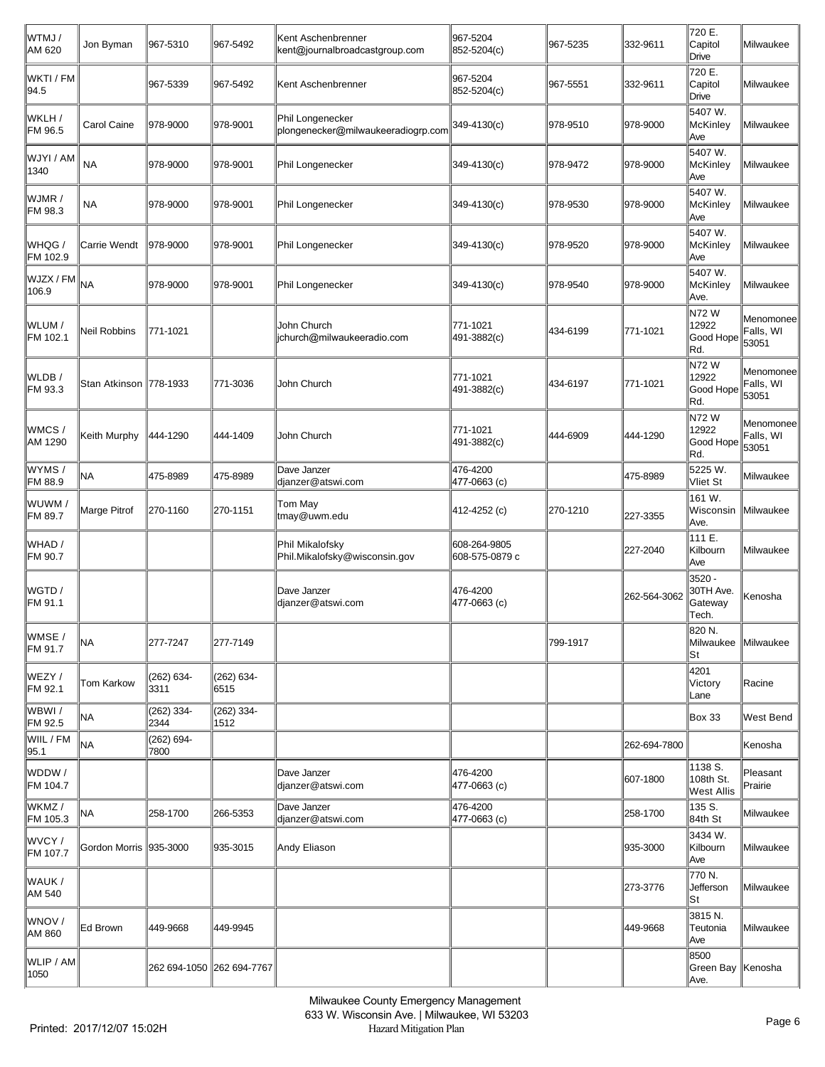| WTMJ/<br>AM 620    | Jon Byman                | 967-5310                  | 967-5492           | Kent Aschenbrenner<br>kent@journalbroadcastgroup.com   | 967-5204<br>852-5204(c)        | 967-5235 | 332-9611     | 720 E.<br>Capitol<br>Drive                | Milwaukee                       |
|--------------------|--------------------------|---------------------------|--------------------|--------------------------------------------------------|--------------------------------|----------|--------------|-------------------------------------------|---------------------------------|
| WKTI / FM<br>94.5  |                          | 967-5339                  | 967-5492           | Kent Aschenbrenner                                     | 967-5204<br>852-5204(c)        | 967-5551 | 332-9611     | 720 E.<br>Capitol<br>Drive                | Milwaukee                       |
| WKLH /<br>FM 96.5  | Carol Caine              | 978-9000                  | 978-9001           | Phil Longenecker<br>plongenecker@milwaukeeradiogrp.com | 349-4130(c)                    | 978-9510 | 978-9000     | 5407 W.<br>McKinley<br>Ave                | Milwaukee                       |
| WJYI / AM<br>1340  | <b>NA</b>                | 978-9000                  | 978-9001           | Phil Longenecker                                       | 349-4130(c)                    | 978-9472 | 978-9000     | 5407 W.<br><b>McKinley</b><br>Ave         | Milwaukee                       |
| WJMR /<br>FM 98.3  | <b>NA</b>                | 978-9000                  | 978-9001           | Phil Longenecker                                       | 349-4130(c)                    | 978-9530 | 978-9000     | 5407 W.<br>McKinley<br>Ave                | Milwaukee                       |
| WHQG /<br>FM 102.9 | Carrie Wendt             | 978-9000                  | 978-9001           | Phil Longenecker                                       | 349-4130(c)                    | 978-9520 | 978-9000     | 5407 W.<br><b>McKinley</b><br>Ave         | Milwaukee                       |
| WJZX / FM<br>106.9 | <b>NA</b>                | 978-9000                  | 978-9001           | Phil Longenecker                                       | 349-4130(c)                    | 978-9540 | 978-9000     | 5407 W.<br>McKinley<br>Ave.               | Milwaukee                       |
| WLUM /<br>FM 102.1 | <b>Neil Robbins</b>      | 771-1021                  |                    | John Church<br>jchurch@milwaukeeradio.com              | 771-1021<br>491-3882(c)        | 434-6199 | 771-1021     | <b>N72W</b><br>12922<br>Good Hope<br>Rd.  | Menomonee<br>Falls, WI<br>53051 |
| WLDB/<br>FM 93.3   | Stan Atkinson   778-1933 |                           | 771-3036           | John Church                                            | 771-1021<br>491-3882(c)        | 434-6197 | 771-1021     | <b>N72W</b><br>12922<br>Good Hope<br>Rd.  | Menomonee<br>Falls, WI<br>53051 |
| WMCS/<br>AM 1290   | Keith Murphy             | 444-1290                  | 444-1409           | John Church                                            | 771-1021<br>491-3882(c)        | 444-6909 | 444-1290     | N72W<br>12922<br>Good Hope<br>Rd.         | Menomonee<br>Falls, WI<br>53051 |
| WYMS/<br>FM 88.9   | NА                       | 475-8989                  | 475-8989           | Dave Janzer<br>djanzer@atswi.com                       | 476-4200<br>477-0663 (c)       |          | 475-8989     | 5225 W.<br>Vliet St                       | Milwaukee                       |
| WUWM /<br>FM 89.7  | Marge Pitrof             | 270-1160                  | 270-1151           | Tom May<br>tmay@uwm.edu                                | 412-4252 (c)                   | 270-1210 | 227-3355     | 161 W.<br>Wisconsin<br>Ave.               | <b>Milwaukee</b>                |
| WHAD /<br>FM 90.7  |                          |                           |                    | Phil Mikalofsky<br>Phil.Mikalofsky@wisconsin.gov       | 608-264-9805<br>608-575-0879 c |          | 227-2040     | 111 E.<br>Kilbourn<br>Ave                 | Milwaukee                       |
| WGTD /<br>FM 91.1  |                          |                           |                    | Dave Janzer<br>djanzer@atswi.com                       | 476-4200<br>477-0663 (c)       |          | 262-564-3062 | 3520 -<br>30TH Ave.<br>Gateway<br>Tech.   | Kenosha                         |
| WMSE /<br>FM 91.7  | NA                       | 277-7247                  | 277-7149           |                                                        |                                | 799-1917 |              | 820 N.<br>Milwaukee Milwaukee<br>St       |                                 |
| WEZY /<br>FM 92.1  | Tom Karkow               | (262) 634-<br>3311        | (262) 634-<br>6515 |                                                        |                                |          |              | 4201<br>Victory<br>Lane                   | Racine                          |
| lwbwi /<br>FM 92.5 | <b>NA</b>                | (262) 334-<br>2344        | (262) 334-<br>1512 |                                                        |                                |          |              | <b>Box 33</b>                             | West Bend                       |
| WIIL / FM<br>95.1  | NA                       | (262) 694-<br>7800        |                    |                                                        |                                |          | 262-694-7800 |                                           | <b>Kenosha</b>                  |
| WDDW/<br>FM 104.7  |                          |                           |                    | Dave Janzer<br>djanzer@atswi.com                       | 476-4200<br>477-0663 (c)       |          | 607-1800     | 1138 S.<br>108th St.<br><b>West Allis</b> | Pleasant<br>Prairie             |
| WKMZ/<br>FM 105.3  | NА                       | 258-1700                  | 266-5353           | Dave Janzer<br>djanzer@atswi.com                       | 476-4200<br>477-0663 (c)       |          | 258-1700     | 135 S.<br>84th St                         | Milwaukee                       |
| WVCY/<br>FM 107.7  | Gordon Morris   935-3000 |                           | 935-3015           | Andy Eliason                                           |                                |          | 935-3000     | 3434 W.<br>Kilbourn<br>Ave                | Milwaukee                       |
| WAUK /<br>AM 540   |                          |                           |                    |                                                        |                                |          | 273-3776     | 770 N.<br>Jefferson<br>lSt                | Milwaukee                       |
| WNOV /<br>AM 860   | Ed Brown                 | 449-9668                  | 449-9945           |                                                        |                                |          | 449-9668     | 3815 N.<br>Teutonia<br>Ave                | Milwaukee                       |
| WLIP / AM<br>1050  |                          | 262 694-1050 262 694-7767 |                    |                                                        |                                |          |              | 8500<br>Green Bay   Kenosha<br>Ave.       |                                 |